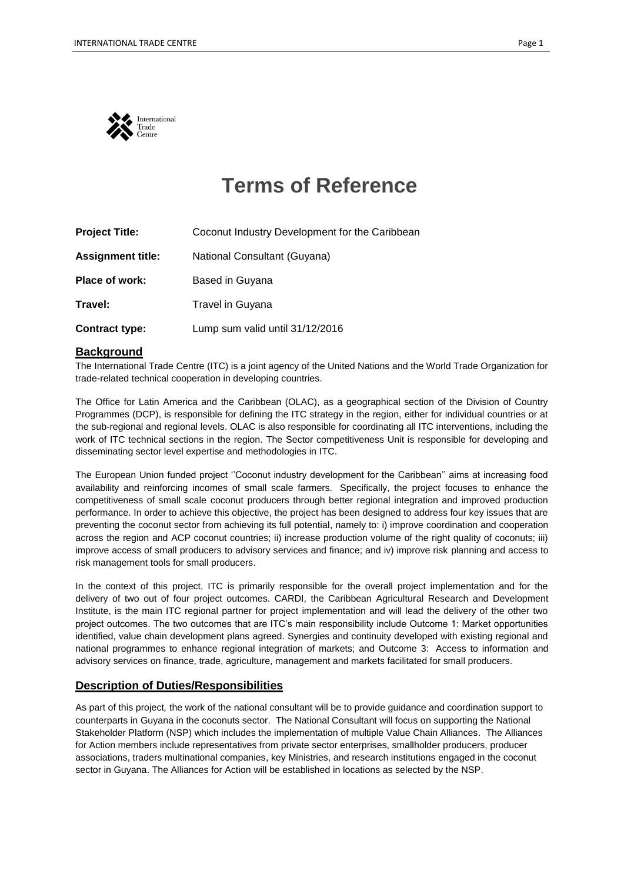

# **Terms of Reference**

| <b>Project Title:</b>    | Coconut Industry Development for the Caribbean |
|--------------------------|------------------------------------------------|
| <b>Assignment title:</b> | National Consultant (Guyana)                   |
| <b>Place of work:</b>    | Based in Guyana                                |
| Travel:                  | Travel in Guyana                               |
| <b>Contract type:</b>    | Lump sum valid until 31/12/2016                |

### **Background**

The International Trade Centre (ITC) is a joint agency of the United Nations and the World Trade Organization for trade-related technical cooperation in developing countries.

The Office for Latin America and the Caribbean (OLAC), as a geographical section of the Division of Country Programmes (DCP), is responsible for defining the ITC strategy in the region, either for individual countries or at the sub-regional and regional levels. OLAC is also responsible for coordinating all ITC interventions, including the work of ITC technical sections in the region. The Sector competitiveness Unit is responsible for developing and disseminating sector level expertise and methodologies in ITC.

The European Union funded project ''Coconut industry development for the Caribbean'' aims at increasing food availability and reinforcing incomes of small scale farmers. Specifically, the project focuses to enhance the competitiveness of small scale coconut producers through better regional integration and improved production performance. In order to achieve this objective, the project has been designed to address four key issues that are preventing the coconut sector from achieving its full potential, namely to: i) improve coordination and cooperation across the region and ACP coconut countries; ii) increase production volume of the right quality of coconuts; iii) improve access of small producers to advisory services and finance; and iv) improve risk planning and access to risk management tools for small producers.

In the context of this project, ITC is primarily responsible for the overall project implementation and for the delivery of two out of four project outcomes. CARDI, the Caribbean Agricultural Research and Development Institute, is the main ITC regional partner for project implementation and will lead the delivery of the other two project outcomes. The two outcomes that are ITC's main responsibility include Outcome 1: Market opportunities identified, value chain development plans agreed. Synergies and continuity developed with existing regional and national programmes to enhance regional integration of markets; and Outcome 3: Access to information and advisory services on finance, trade, agriculture, management and markets facilitated for small producers.

# **Description of Duties/Responsibilities**

As part of this project*,* the work of the national consultant will be to provide guidance and coordination support to counterparts in Guyana in the coconuts sector. The National Consultant will focus on supporting the National Stakeholder Platform (NSP) which includes the implementation of multiple Value Chain Alliances. The Alliances for Action members include representatives from private sector enterprises, smallholder producers, producer associations, traders multinational companies, key Ministries, and research institutions engaged in the coconut sector in Guyana. The Alliances for Action will be established in locations as selected by the NSP.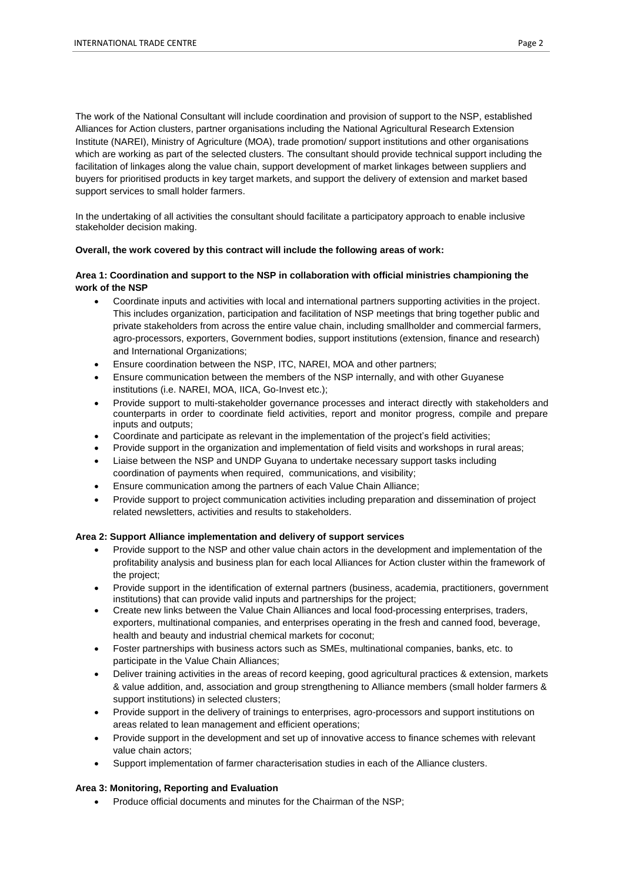The work of the National Consultant will include coordination and provision of support to the NSP, established Alliances for Action clusters, partner organisations including the National Agricultural Research Extension Institute (NAREI), Ministry of Agriculture (MOA), trade promotion/ support institutions and other organisations which are working as part of the selected clusters. The consultant should provide technical support including the facilitation of linkages along the value chain, support development of market linkages between suppliers and buyers for prioritised products in key target markets, and support the delivery of extension and market based support services to small holder farmers.

In the undertaking of all activities the consultant should facilitate a participatory approach to enable inclusive stakeholder decision making.

#### **Overall, the work covered by this contract will include the following areas of work:**

#### **Area 1: Coordination and support to the NSP in collaboration with official ministries championing the work of the NSP**

- Coordinate inputs and activities with local and international partners supporting activities in the project. This includes organization, participation and facilitation of NSP meetings that bring together public and private stakeholders from across the entire value chain, including smallholder and commercial farmers, agro-processors, exporters, Government bodies, support institutions (extension, finance and research) and International Organizations;
- Ensure coordination between the NSP, ITC, NAREI, MOA and other partners;
- Ensure communication between the members of the NSP internally, and with other Guyanese institutions (i.e. NAREI, MOA, IICA, Go-Invest etc.);
- Provide support to multi-stakeholder governance processes and interact directly with stakeholders and counterparts in order to coordinate field activities, report and monitor progress, compile and prepare inputs and outputs;
- Coordinate and participate as relevant in the implementation of the project's field activities;
- Provide support in the organization and implementation of field visits and workshops in rural areas;
- Liaise between the NSP and UNDP Guyana to undertake necessary support tasks including coordination of payments when required, communications, and visibility;
- Ensure communication among the partners of each Value Chain Alliance;
- Provide support to project communication activities including preparation and dissemination of project related newsletters, activities and results to stakeholders.

#### **Area 2: Support Alliance implementation and delivery of support services**

- Provide support to the NSP and other value chain actors in the development and implementation of the profitability analysis and business plan for each local Alliances for Action cluster within the framework of the project;
- Provide support in the identification of external partners (business, academia, practitioners, government institutions) that can provide valid inputs and partnerships for the project;
- Create new links between the Value Chain Alliances and local food-processing enterprises, traders, exporters, multinational companies, and enterprises operating in the fresh and canned food, beverage, health and beauty and industrial chemical markets for coconut;
- Foster partnerships with business actors such as SMEs, multinational companies, banks, etc. to participate in the Value Chain Alliances;
- Deliver training activities in the areas of record keeping, good agricultural practices & extension, markets & value addition, and, association and group strengthening to Alliance members (small holder farmers & support institutions) in selected clusters;
- Provide support in the delivery of trainings to enterprises, agro-processors and support institutions on areas related to lean management and efficient operations;
- Provide support in the development and set up of innovative access to finance schemes with relevant value chain actors;
- Support implementation of farmer characterisation studies in each of the Alliance clusters.

#### **Area 3: Monitoring, Reporting and Evaluation**

• Produce official documents and minutes for the Chairman of the NSP;